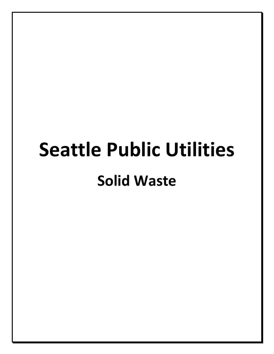# **Seattle Public Utilities Solid Waste**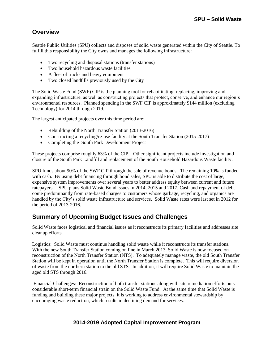## **Overview**

Seattle Public Utilities (SPU) collects and disposes of solid waste generated within the City of Seattle. To fulfill this responsibility the City owns and manages the following infrastructure:

- Two recycling and disposal stations (transfer stations)
- Two household hazardous waste facilities
- A fleet of trucks and heavy equipment
- Two closed landfills previously used by the City

The Solid Waste Fund (SWF) CIP is the planning tool for rehabilitating, replacing, improving and expanding infrastructure, as well as constructing projects that protect, conserve, and enhance our region's environmental resources. Planned spending in the SWF CIP is approximately \$144 million (excluding Technology) for 2014 through 2019.

The largest anticipated projects over this time period are:

- Rebuilding of the North Transfer Station (2013-2016)
- Constructing a recycling/re-use facility at the South Transfer Station (2015-2017)
- Completing the South Park Development Project

These projects comprise roughly 63% of the CIP. Other significant projects include investigation and closure of the South Park Landfill and replacement of the South Household Hazardous Waste facility.

SPU funds about 90% of the SWF CIP through the sale of revenue bonds. The remaining 10% is funded with cash. By using debt financing through bond sales, SPU is able to distribute the cost of large, expensive system improvements over several years to better address equity between current and future ratepayers. SPU plans Solid Waste Bond issues in 2014, 2015 and 2017. Cash and repayment of debt come predominantly from rate-based charges to customers whose garbage, recycling, and organics are handled by the City's solid waste infrastructure and services. Solid Waste rates were last set in 2012 for the period of 2013-2016.

## **Summary of Upcoming Budget Issues and Challenges**

Solid Waste faces logistical and financial issues as it reconstructs its primary facilities and addresses site cleanup efforts.

Logistics: Solid Waste must continue handling solid waste while it reconstructs its transfer stations. With the new South Transfer Station coming on line in March 2013, Solid Waste is now focused on reconstruction of the North Transfer Station (NTS). To adequately manage waste, the old South Transfer Station will be kept in operation until the North Transfer Station is complete. This will require diversion of waste from the northern station to the old STS. In addition, it will require Solid Waste to maintain the aged old STS through 2016.

Financial Challenges: Reconstruction of both transfer stations along with site remediation efforts puts considerable short-term financial strain on the Solid Waste Fund. At the same time that Solid Waste is funding and building these major projects, it is working to address environmental stewardship by encouraging waste reduction, which results in declining demand for services.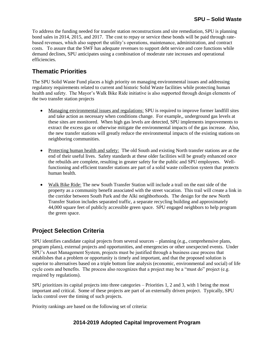To address the funding needed for transfer station reconstructions and site remediation, SPU is planning bond sales in 2014, 2015, and 2017. The cost to repay or service these bonds will be paid through ratebased revenues, which also support the utility's operations, maintenance, administration, and contract costs. To assure that the SWF has adequate revenues to support debt service and core functions while demand declines, SPU anticipates using a combination of moderate rate increases and operational efficiencies.

# **Thematic Priorities**

The SPU Solid Waste Fund places a high priority on managing environmental issues and addressing regulatory requirements related to current and historic Solid Waste facilities while protecting human health and safety. The Mayor's Walk Bike Ride initiative is also supported through design elements of the two transfer station projects

- Managing environmental issues and regulations: SPU is required to improve former landfill sites and take action as necessary when conditions change. For example,, underground gas levels at these sites are monitored. When high gas levels are detected, SPU implements improvements to extract the excess gas or otherwise mitigate the environmental impacts of the gas increase. Also, the new transfer stations will greatly reduce the environmental impacts of the existing stations on neighboring communities.
- Protecting human health and safety: The old South and existing North transfer stations are at the end of their useful lives. Safety standards at these older facilities will be greatly enhanced once the rebuilds are complete, resulting in greater safety for the public and SPU employees. Wellfunctioning and efficient transfer stations are part of a solid waste collection system that protects human health.
- Walk Bike Ride: The new South Transfer Station will include a trail on the east side of the property as a community benefit associated with the street vacation. This trail will create a link in the corridor between South Park and the Alki neighborhoods. The design for the new North Transfer Station includes separated traffic, a separate recycling building and approximately 44,000 square feet of publicly accessible green space. SPU engaged neighbors to help program the green space.

# **Project Selection Criteria**

SPU identifies candidate capital projects from several sources – planning (e.g., comprehensive plans, program plans), external projects and opportunities, and emergencies or other unexpected events. Under SPU's Asset Management System, projects must be justified through a business case process that establishes that a problem or opportunity is timely and important, and that the proposed solution is superior to alternatives based on a triple bottom line analysis (economic, environmental and social) of life cycle costs and benefits. The process also recognizes that a project may be a "must do" project (e.g. required by regulations).

SPU prioritizes its capital projects into three categories – Priorities 1, 2 and 3, with 1 being the most important and critical. Some of these projects are part of an externally driven project. Typically, SPU lacks control over the timing of such projects.

Priority rankings are based on the following set of criteria: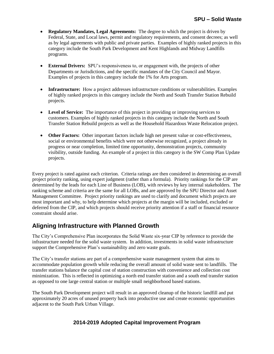- **Regulatory Mandates, Legal Agreements:** The degree to which the project is driven by Federal, State, and Local laws, permit and regulatory requirements, and consent decrees; as well as by legal agreements with public and private parties. Examples of highly ranked projects in this category include the South Park Development and Kent Highlands and Midway Landfills programs.
- **External Drivers:** SPU's responsiveness to, or engagement with, the projects of other Departments or Jurisdictions, and the specific mandates of the City Council and Mayor. Examples of projects in this category include the 1% for Arts program.
- **Infrastructure:** How a project addresses infrastructure conditions or vulnerabilities. Examples of highly ranked projects in this category include the North and South Transfer Station Rebuild projects.
- **Level of Service:** The importance of this project in providing or improving services to customers. Examples of highly ranked projects in this category include the North and South Transfer Station Rebuild projects as well as the Household Hazardous Waste Relocation project.
- Other Factors: Other important factors include high net present value or cost-effectiveness, social or environmental benefits which were not otherwise recognized, a project already in progress or near completion, limited time opportunity, demonstration projects, community visibility, outside funding. An example of a project in this category is the SW Comp Plan Update projects.

Every project is rated against each criterion. Criteria ratings are then considered in determining an overall project priority ranking, using expert judgment (rather than a formula). Priority rankings for the CIP are determined by the leads for each Line of Business (LOB), with reviews by key internal stakeholders. The ranking scheme and criteria are the same for all LOBs, and are approved by the SPU Director and Asset Management Committee. Project priority rankings are used to clarify and document which projects are most important and why, to help determine which projects at the margin will be included, excluded or deferred from the CIP, and which projects should receive priority attention if a staff or financial resource constraint should arise.

## **Aligning Infrastructure with Planned Growth**

The City's Comprehensive Plan incorporates the Solid Waste six-year CIP by reference to provide the infrastructure needed for the solid waste system. In addition, investments in solid waste infrastructure support the Comprehensive Plan's sustainability and zero waste goals.

The City's transfer stations are part of a comprehensive waste management system that aims to accommodate population growth while reducing the overall amount of solid waste sent to landfills. The transfer stations balance the capital cost of station construction with convenience and collection cost minimization. This is reflected in optimizing a north end transfer station and a south end transfer station as opposed to one large central station or multiple small neighborhood based stations.

The South Park Development project will result in an approved cleanup of the historic landfill and put approximately 20 acres of unused property back into productive use and create economic opportunities adjacent to the South Park Urban Village.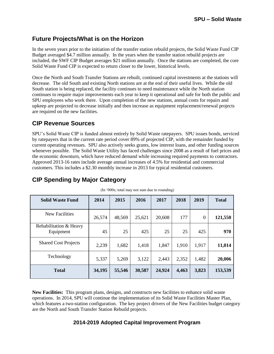## **Future Projects/What is on the Horizon**

In the seven years prior to the initiation of the transfer station rebuild projects, the Solid Waste Fund CIP Budget averaged \$4.7 million annually. In the years when the transfer station rebuild projects are included, the SWF CIP Budget averages \$21 million annually. Once the stations are completed, the core Solid Waste Fund CIP is expected to return closer to the lower, historical levels.

Once the North and South Transfer Stations are rebuilt, continued capital investments at the stations will decrease. The old South and existing North stations are at the end of their useful lives. While the old South station is being replaced, the facility continues to need maintenance while the North station continues to require major improvements each year to keep it operational and safe for both the public and SPU employees who work there. Upon completion of the new stations, annual costs for repairs and upkeep are projected to decrease initially and then increase as equipment replacement/renewal projects are required on the new facilities.

## **CIP Revenue Sources**

SPU's Solid Waste CIP is funded almost entirely by Solid Waste ratepayers. SPU issues bonds, serviced by ratepayers that in the current rate period cover 89% of projected CIP, with the remainder funded by current operating revenues. SPU also actively seeks grants, low interest loans, and other funding sources whenever possible. The Solid Waste Utility has faced challenges since 2008 as a result of fuel prices and the economic downturn, which have reduced demand while increasing required payments to contractors. Approved 2013-16 rates include average annual increases of 4.5% for residential and commercial customers. This includes a \$2.30 monthly increase in 2013 for typical residential customers.

| THE OODS, total files flot suil due to founding |        |        |        |        |       |          |              |  |  |  |  |  |
|-------------------------------------------------|--------|--------|--------|--------|-------|----------|--------------|--|--|--|--|--|
| <b>Solid Waste Fund</b>                         | 2014   | 2015   | 2016   | 2017   | 2018  | 2019     | <b>Total</b> |  |  |  |  |  |
| <b>New Facilities</b>                           | 26,574 | 48,569 | 25,621 | 20,608 | 177   | $\theta$ | 121,550      |  |  |  |  |  |
| Rehabilitation & Heavy<br>Equipment             | 45     | 25     | 425    | 25     | 25    | 425      | 970          |  |  |  |  |  |
| <b>Shared Cost Projects</b>                     | 2,239  | 1,682  | 1,418  | 1,847  | 1,910 | 1,917    | 11,014       |  |  |  |  |  |
| Technology                                      | 5,337  | 5,269  | 3,122  | 2,443  | 2,352 | 1,482    | 20,006       |  |  |  |  |  |
| <b>Total</b>                                    | 34,195 | 55,546 | 30,587 | 24,924 | 4,463 | 3,823    | 153,539      |  |  |  |  |  |

## **CIP Spending by Major Category**

(In '000s; total may not sum due to rounding)

**New Facilities:** This program plans, designs, and constructs new facilities to enhance solid waste operations. In 2014, SPU will continue the implementation of its Solid Waste Facilities Master Plan, which features a two-station configuration. The key project drivers of the New Facilities budget category are the North and South Transfer Station Rebuild projects.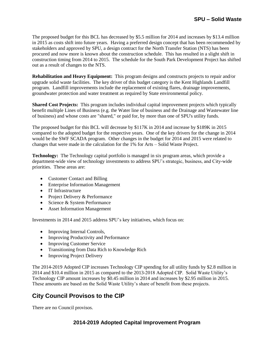The proposed budget for this BCL has decreased by \$5.5 million for 2014 and increases by \$13.4 million in 2015 as costs shift into future years. Having a preferred design concept that has been recommended by stakeholders and approved by SPU, a design contract for the North Transfer Station (NTS) has been procured and now more is known about the construction schedule. This has resulted in a slight shift in construction timing from 2014 to 2015. The schedule for the South Park Development Project has shifted out as a result of changes to the NTS.

**Rehabilitation and Heavy Equipment:** This program designs and constructs projects to repair and/or upgrade solid waste facilities. The key driver of this budget category is the Kent Highlands Landfill program. Landfill improvements include the replacement of existing flares, drainage improvements, groundwater protection and water treatment as required by State environmental policy.

**Shared Cost Projects:** This program includes individual capital improvement projects which typically benefit multiple Lines of Business (e.g. the Water line of business and the Drainage and Wastewater line of business) and whose costs are "shared," or paid for, by more than one of SPU's utility funds.

The proposed budget for this BCL will decrease by \$117K in 2014 and increase by \$189K in 2015 compared to the adopted budget for the respective years. One of the key drivers for the change in 2014 would be the SWF SCADA program. Other changes in the budget for 2014 and 2015 were related to changes that were made in the calculation for the 1% for Arts – Solid Waste Project.

**Technology:** The Technology capital portfolio is managed in six program areas, which provide a department-wide view of technology investments to address SPU's strategic, business, and City-wide priorities. These areas are:

- Customer Contact and Billing
- Enterprise Information Management
- IT Infrastructure
- Project Delivery & Performance
- Science & System Performance
- Asset Information Management

Investments in 2014 and 2015 address SPU's key initiatives, which focus on:

- Improving Internal Controls,
- Improving Productivity and Performance
- Improving Customer Service
- Transitioning from Data Rich to Knowledge Rich
- Improving Project Delivery

The 2014-2019 Adopted CIP increases Technology CIP spending for all utility funds by \$2.8 million in 2014 and \$10.4 million in 2015 as compared to the 2013-2018 Adopted CIP. Solid Waste Utility's Technology CIP amount increases by \$0.45 million in 2014 and increases by \$2.95 million in 2015. These amounts are based on the Solid Waste Utility's share of benefit from these projects.

# **City Council Provisos to the CIP**

There are no Council provisos.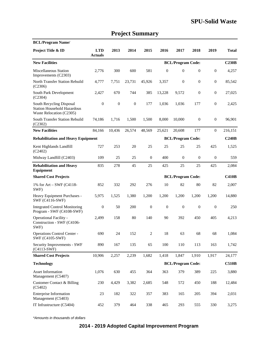| <b>BCL/Program Name/</b>                                                                   |                              |                  |              |                  |                  |                          |                  |                  |              |
|--------------------------------------------------------------------------------------------|------------------------------|------------------|--------------|------------------|------------------|--------------------------|------------------|------------------|--------------|
| Project Title & ID                                                                         | <b>LTD</b><br><b>Actuals</b> | 2013             | 2014         | 2015             | 2016             | 2017                     | 2018             | 2019             | <b>Total</b> |
| <b>New Facilities</b>                                                                      |                              |                  |              |                  |                  | <b>BCL/Program Code:</b> |                  |                  | C230B        |
| <b>Miscellaneous Station</b><br>Improvements (C2303)                                       | 2,776                        | 300              | 600          | 581              | $\overline{0}$   | $\overline{0}$           | $\mathbf{0}$     | $\boldsymbol{0}$ | 4,257        |
| North Transfer Station Rebuild<br>(C2306)                                                  | 4,777                        | 7,751            | 23,731       | 45,926           | 3,357            | $\mathbf{0}$             | $\mathbf{0}$     | $\mathbf{0}$     | 85,542       |
| South Park Development<br>(C2304)                                                          | 2,427                        | 670              | 744          | 385              | 13,228           | 9,572                    | $\mathbf{0}$     | $\mathbf{0}$     | 27,025       |
| South Recycling Disposal<br><b>Station Household Hazardous</b><br>Waste Relocation (C2305) | $\overline{0}$               | $\boldsymbol{0}$ | $\mathbf{0}$ | 177              | 1,036            | 1,036                    | 177              | $\mathbf{0}$     | 2,425        |
| South Transfer Station Rebuild<br>(C2302)                                                  | 74,186                       | 1,716            | 1,500        | 1,500            | 8,000            | 10,000                   | $\mathbf{0}$     | $\mathbf{0}$     | 96,901       |
| <b>New Facilities</b>                                                                      | 84,166                       | 10,436           | 26,574       | 48,569           | 25,621           | 20,608                   | 177              | $\overline{0}$   | 216,151      |
| <b>Rehabilitation and Heavy Equipment</b>                                                  |                              |                  |              |                  |                  | <b>BCL/Program Code:</b> |                  |                  | C240B        |
| Kent Highlands Landfill<br>(C2402)                                                         | 727                          | 253              | 20           | 25               | 25               | 25                       | 25               | 425              | 1,525        |
| Midway Landfill (C2403)                                                                    | 109                          | 25               | 25           | $\mathbf{0}$     | 400              | $\mathbf{0}$             | $\mathbf{0}$     | $\mathbf{0}$     | 559          |
| <b>Rehabilitation and Heavy</b><br>Equipment                                               | 835                          | 278              | 45           | 25               | 425              | 25                       | 25               | 425              | 2,084        |
| <b>Shared Cost Projects</b>                                                                |                              |                  |              |                  |                  | <b>BCL/Program Code:</b> |                  |                  | <b>C410B</b> |
| 1% for Art – SWF (C4118-<br>SWF)                                                           | 852                          | 332              | 292          | 276              | 10               | 82                       | 80               | 82               | 2,007        |
| Heavy Equipment Purchases -<br>SWF (C4116-SWF)                                             | 5,975                        | 1,525            | 1,380        | 1,200            | 1,200            | 1,200                    | 1,200            | 1,200            | 14,880       |
| <b>Integrated Control Monitoring</b><br>Program - SWF (C4108-SWF)                          | $\boldsymbol{0}$             | 50               | 200          | $\boldsymbol{0}$ | $\boldsymbol{0}$ | $\boldsymbol{0}$         | $\boldsymbol{0}$ | $\mathbf{0}$     | 250          |
| Operational Facility -<br>Construction - SWF (C4106-<br>SWF)                               | 2,499                        | 158              | 80           | 140              | 90               | 392                      | 450              | 405              | 4,213        |
| Operations Control Center -<br>SWF (C4105-SWF)                                             | 690                          | 24               | 152          | 2                | 18               | 63                       | 68               | 68               | 1,084        |
| Security Improvements - SWF<br>$(C4113-SWF)$                                               | 890                          | 167              | 135          | 65               | 100              | 110                      | 113              | 163              | 1,742        |
| <b>Shared Cost Projects</b>                                                                | 10,906                       | 2,257            | 2,239        | 1,682            | 1,418            | 1,847                    | 1,910            | 1,917            | 24,177       |
| <b>Technology</b>                                                                          |                              |                  |              |                  |                  | <b>BCL/Program Code:</b> |                  |                  | <b>C510B</b> |
| Asset Information<br>Management (C5407)                                                    | 1,076                        | 630              | 455          | 364              | 363              | 379                      | 389              | 225              | 3,880        |
| <b>Customer Contact &amp; Billing</b><br>(C5402)                                           | 230                          | 4,429            | 3,382        | 2,685            | 548              | 572                      | 450              | 188              | 12,484       |
| <b>Enterprise Information</b><br>Management (C5403)                                        | 23                           | 182              | 322          | 357              | 383              | 165                      | 205              | 394              | 2,031        |
| IT Infrastructure (C5404)                                                                  | 452                          | 379              | 464          | 338              | 465              | 293                      | 555              | 330              | 3,275        |

# **Project Summary**

\*Amounts in thousands of dollars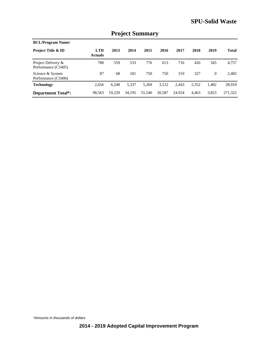| <b>BCL/Program Name/</b>                  |                              |        |        |        |        |        |       |          |              |  |  |
|-------------------------------------------|------------------------------|--------|--------|--------|--------|--------|-------|----------|--------------|--|--|
| <b>Project Title &amp; ID</b>             | <b>LTD</b><br><b>Actuals</b> | 2013   | 2014   | 2015   | 2016   | 2017   | 2018  | 2019     | <b>Total</b> |  |  |
| Project Delivery &<br>Performance (C5405) | 788                          | 559    | 533    | 776    | 613    | 716    | 426   | 345      | 4,757        |  |  |
| Science & System<br>Performance (C5406)   | 87                           | 68     | 181    | 750    | 750    | 319    | 327   | $\Omega$ | 2.482        |  |  |
| <b>Technology</b>                         | 2,656                        | 6,248  | 5,337  | 5,269  | 3,122  | 2.443  | 2,352 | 1.482    | 28,910       |  |  |
| <b>Department Total*:</b>                 | 98,563                       | 19.220 | 34,195 | 55,546 | 30,587 | 24,924 | 4,463 | 3,823    | 271,322      |  |  |

## **Project Summary**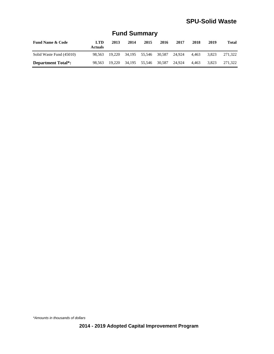| <b>Fund Name &amp; Code</b> | <b>LTD</b><br><b>Actuals</b> | 2013 | 2014 | 2015                               | 2016 | 2017   | 2018  | 2019  | <b>Total</b> |
|-----------------------------|------------------------------|------|------|------------------------------------|------|--------|-------|-------|--------------|
| Solid Waste Fund (45010)    | 98.563                       |      |      | 19,220 34,195 55,546 30,587 24,924 |      |        | 4.463 | 3.823 | 271.322      |
| <b>Department Total*:</b>   | 98.563                       |      |      | 19,220 34,195 55,546 30,587        |      | 24.924 | 4.463 | 3.823 | 271.322      |

## **Fund Summary**

\*Amounts in thousands of dollars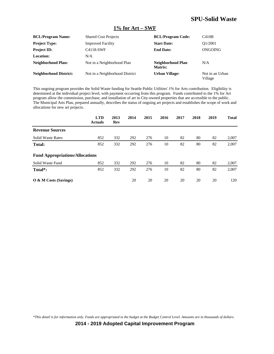#### **1% for Art – SWF**

| <b>BCL/Program Name:</b>      | <b>Shared Cost Projects</b>    | <b>BCL/Program Code:</b>     | C410B                      |
|-------------------------------|--------------------------------|------------------------------|----------------------------|
| <b>Project Type:</b>          | <b>Improved Facility</b>       | <b>Start Date:</b>           | O1/2001                    |
| <b>Project ID:</b>            | C4118-SWF                      | <b>End Date:</b>             | ONGOING                    |
| <b>Location:</b>              | N/A                            |                              |                            |
| Neighborhood Plan:            | Not in a Neighborhood Plan     | Neighborhood Plan<br>Matrix: | N/A                        |
| <b>Neighborhood District:</b> | Not in a Neighborhood District | <b>Urban Village:</b>        | Not in an Urban<br>Village |

This ongoing program provides the Solid Waste funding for Seattle Public Utilities' 1% for Arts contribution. Eligibility is determined at the individual project level, with payment occurring from this program. Funds contributed to the 1% for Art program allow the commission, purchase, and installation of art in City-owned properties that are accessible to the public. The Municipal Arts Plan, prepared annually, describes the status of ongoing art projects and establishes the scope of work and allocations for new art projects.

|                                        | <b>LTD</b><br><b>Actuals</b> | 2013<br>Rev | 2014 | 2015 | 2016 | 2017 | 2018 | 2019 | <b>Total</b> |
|----------------------------------------|------------------------------|-------------|------|------|------|------|------|------|--------------|
| <b>Revenue Sources</b>                 |                              |             |      |      |      |      |      |      |              |
| <b>Solid Waste Rates</b>               | 852                          | 332         | 292  | 276  | 10   | 82   | 80   | 82   | 2,007        |
| Total:                                 | 852                          | 332         | 292  | 276  | 10   | 82   | 80   | 82   | 2,007        |
| <b>Fund Appropriations/Allocations</b> |                              |             |      |      |      |      |      |      |              |
| Solid Waste Fund                       | 852                          | 332         | 292  | 276  | 10   | 82   | 80   | 82   | 2,007        |
| Total*:                                | 852                          | 332         | 292  | 276  | 10   | 82   | 80   | 82   | 2,007        |
| O & M Costs (Savings)                  |                              |             | 20   | 20   | 20   | 20   | 20   | 20   | 120          |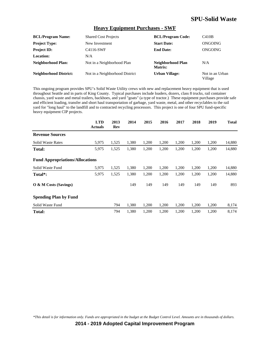#### **Heavy Equipment Purchases - SWF**

| <b>BCL/Program Name:</b>      | <b>Shared Cost Projects</b>    | <b>BCL/Program Code:</b>     | C410B                      |
|-------------------------------|--------------------------------|------------------------------|----------------------------|
| <b>Project Type:</b>          | New Investment                 | <b>Start Date:</b>           | ONGOING                    |
| <b>Project ID:</b>            | C4116-SWF                      | <b>End Date:</b>             | ONGOING                    |
| Location:                     | N/A                            |                              |                            |
| Neighborhood Plan:            | Not in a Neighborhood Plan     | Neighborhood Plan<br>Matrix: | N/A                        |
| <b>Neighborhood District:</b> | Not in a Neighborhood District | <b>Urban Village:</b>        | Not in an Urban<br>Village |

This ongoing program provides SPU's Solid Waste Utility crews with new and replacement heavy equipment that is used throughout Seattle and in parts of King County. Typical purchases include loaders, dozers, class 8 trucks, rail container chassis, yard waste and metal trailers, backhoes, and yard "goats" (a type of tractor.) These equipment purchases provide safe and efficient loading, transfer and short haul transportation of garbage, yard waste, metal, and other recyclables to the rail yard for "long haul" to the landfill and to contracted recycling processors. This project is one of four SPU fund-specific heavy equipment CIP projects.

|                                        | <b>LTD</b><br><b>Actuals</b> | 2013<br>Rev | 2014  | 2015  | 2016  | 2017  | 2018  | 2019  | <b>Total</b> |
|----------------------------------------|------------------------------|-------------|-------|-------|-------|-------|-------|-------|--------------|
| <b>Revenue Sources</b>                 |                              |             |       |       |       |       |       |       |              |
| <b>Solid Waste Rates</b>               | 5,975                        | 1,525       | 1,380 | 1,200 | 1,200 | 1,200 | 1,200 | 1,200 | 14,880       |
| <b>Total:</b>                          | 5,975                        | 1,525       | 1,380 | 1,200 | 1,200 | 1,200 | 1,200 | 1,200 | 14,880       |
| <b>Fund Appropriations/Allocations</b> |                              |             |       |       |       |       |       |       |              |
| Solid Waste Fund                       | 5,975                        | 1,525       | 1,380 | 1,200 | 1,200 | 1,200 | 1,200 | 1,200 | 14,880       |
| Total <sup>*</sup> :                   | 5,975                        | 1,525       | 1,380 | 1,200 | 1,200 | 1,200 | 1,200 | 1,200 | 14,880       |
| $\overline{O}$ & M Costs (Savings)     |                              |             | 149   | 149   | 149   | 149   | 149   | 149   | 893          |
| <b>Spending Plan by Fund</b>           |                              |             |       |       |       |       |       |       |              |
| Solid Waste Fund                       |                              | 794         | 1,380 | 1,200 | 1,200 | 1,200 | 1,200 | 1,200 | 8,174        |
| Total:                                 |                              | 794         | 1,380 | 1,200 | 1,200 | 1,200 | 1,200 | 1,200 | 8,174        |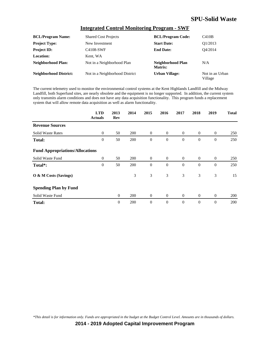#### **Integrated Control Monitoring Program - SWF**

| <b>BCL/Program Name:</b>      | <b>Shared Cost Projects</b>    | <b>BCL/Program Code:</b>     | C410B                      |
|-------------------------------|--------------------------------|------------------------------|----------------------------|
| <b>Project Type:</b>          | New Investment                 | <b>Start Date:</b>           | O1/2013                    |
| <b>Project ID:</b>            | C4108-SWF                      | <b>End Date:</b>             | O4/2014                    |
| <b>Location:</b>              | Kent, WA                       |                              |                            |
| Neighborhood Plan:            | Not in a Neighborhood Plan     | Neighborhood Plan<br>Matrix: | N/A                        |
| <b>Neighborhood District:</b> | Not in a Neighborhood District | <b>Urban Village:</b>        | Not in an Urban<br>Village |

The current telemetry used to monitor the environmental control systems at the Kent Highlands Landfill and the Midway Landfill, both Superfund sites, are nearly obsolete and the equipment is no longer supported. In addition, the current system only transmits alarm conditions and does not have any data acquisition functionality. This program funds a replacement system that will allow remote data acquisition as well as alarm functionality.

|                                        | <b>LTD</b><br><b>Actuals</b> | 2013<br>Rev    | 2014       | 2015             | 2016           | 2017           | 2018         | 2019           | <b>Total</b> |
|----------------------------------------|------------------------------|----------------|------------|------------------|----------------|----------------|--------------|----------------|--------------|
| <b>Revenue Sources</b>                 |                              |                |            |                  |                |                |              |                |              |
| <b>Solid Waste Rates</b>               | $\overline{0}$               | 50             | <b>200</b> | $\overline{0}$   | $\overline{0}$ | $\overline{0}$ | $\mathbf{0}$ | $\overline{0}$ | 250          |
| <b>Total:</b>                          | $\theta$                     | 50             | 200        | $\boldsymbol{0}$ | $\theta$       | $\theta$       | $\theta$     | $\theta$       | 250          |
| <b>Fund Appropriations/Allocations</b> |                              |                |            |                  |                |                |              |                |              |
| Solid Waste Fund                       | $\overline{0}$               | 50             | <b>200</b> | $\overline{0}$   | $\overline{0}$ | $\overline{0}$ | $\mathbf{0}$ | $\overline{0}$ | 250          |
| Total*:                                | $\theta$                     | 50             | 200        | $\boldsymbol{0}$ | $\theta$       | $\theta$       | $\theta$     | $\mathbf{0}$   | 250          |
| O & M Costs (Savings)                  |                              |                | 3          | 3                | 3              | 3              | 3            | 3              | 15           |
| <b>Spending Plan by Fund</b>           |                              |                |            |                  |                |                |              |                |              |
| Solid Waste Fund                       |                              | $\overline{0}$ | 200        | $\overline{0}$   | $\overline{0}$ | $\overline{0}$ | $\mathbf{0}$ | $\overline{0}$ | 200          |
| <b>Total:</b>                          |                              | $\theta$       | 200        | $\overline{0}$   | $\theta$       | $\theta$       | $\theta$     | $\mathbf{0}$   | 200          |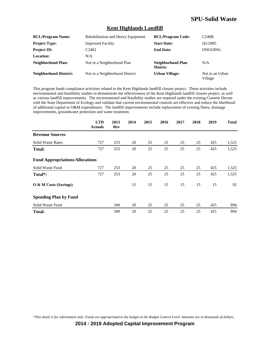#### **Kent Highlands Landfill**

| <b>BCL/Program Name:</b>      | Rehabilitation and Heavy Equipment | <b>BCL/Program Code:</b>     | C240B                      |
|-------------------------------|------------------------------------|------------------------------|----------------------------|
| <b>Project Type:</b>          | <b>Improved Facility</b>           | <b>Start Date:</b>           | O1/2005                    |
| <b>Project ID:</b>            | C <sub>2402</sub>                  | <b>End Date:</b>             | ONGOING                    |
| Location:                     | N/A                                |                              |                            |
| Neighborhood Plan:            | Not in a Neighborhood Plan         | Neighborhood Plan<br>Matrix: | N/A                        |
| <b>Neighborhood District:</b> | Not in a Neighborhood District     | <b>Urban Village:</b>        | Not in an Urban<br>Village |

This program funds compliance activities related to the Kent Highlands landfill closure project. These activities include environmental and feasibility studies to demonstrate the effectiveness of the Kent Highlands landfill closure project, as well as various landfill improvements. The environmental and feasibility studies are required under the existing Consent Decree with the State Department of Ecology and validate that current environmental controls are effective and reduce the likelihood of additional capital or O&M expenditures. The landfill improvements include replacement of existing flares, drainage improvements, groundwater protection and water treatment.

|                                        | <b>LTD</b><br><b>Actuals</b> | 2013<br>Rev | 2014 | 2015 | 2016 | 2017 | 2018 | 2019 | <b>Total</b> |
|----------------------------------------|------------------------------|-------------|------|------|------|------|------|------|--------------|
| <b>Revenue Sources</b>                 |                              |             |      |      |      |      |      |      |              |
| <b>Solid Waste Rates</b>               | 727                          | 253         | 20   | 25   | 25   | 25   | 25   | 425  | 1,525        |
| Total:                                 | 727                          | 253         | 20   | 25   | 25   | 25   | 25   | 425  | 1,525        |
| <b>Fund Appropriations/Allocations</b> |                              |             |      |      |      |      |      |      |              |
| Solid Waste Fund                       | 727                          | 253         | 20   | 25   | 25   | 25   | 25   | 425  | 1,525        |
| Total <sup>*</sup> :                   | 727                          | 253         | 20   | 25   | 25   | 25   | 25   | 425  | 1,525        |
| O & M Costs (Savings)                  |                              |             | 15   | 15   | 15   | 15   | 15   | 15   | 92           |
| <b>Spending Plan by Fund</b>           |                              |             |      |      |      |      |      |      |              |
| Solid Waste Fund                       |                              | 349         | 20   | 25   | 25   | 25   | 25   | 425  | 894          |
| <b>Total:</b>                          |                              | 349         | 20   | 25   | 25   | 25   | 25   | 425  | 894          |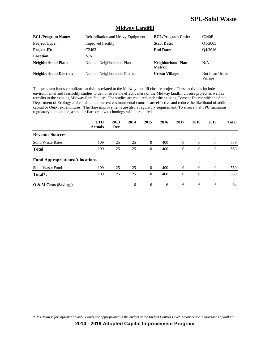#### **Midway Landfill**

| <b>BCL/Program Name:</b>      | Rehabilitation and Heavy Equipment | <b>BCL/Program Code:</b>     | C240B                      |
|-------------------------------|------------------------------------|------------------------------|----------------------------|
| <b>Project Type:</b>          | <b>Improved Facility</b>           | <b>Start Date:</b>           | O1/2005                    |
| <b>Project ID:</b>            | C <sub>2403</sub>                  | <b>End Date:</b>             | O4/2016                    |
| Location:                     | N/A                                |                              |                            |
| Neighborhood Plan:            | Not in a Neighborhood Plan         | Neighborhood Plan<br>Matrix: | N/A                        |
| <b>Neighborhood District:</b> | Not in a Neighborhood District     | <b>Urban Village:</b>        | Not in an Urban<br>Village |

This program funds compliance activities related to the Midway landfill closure project. These activities include environmental and feasibility studies to demonstrate the effectiveness of the Midway landfill closure project as well as retrofits to the existing Midway flare facility. The studies are required under the existing Consent Decree with the State Department of Ecology and validate that current environmental controls are effective and reduce the likelihood of additional capital or O&M expenditures. The flare improvements are also a regulatory requirement. To ensure that SPU maintains regulatory compliance, a smaller flare or new technology will be required.

|                                        | <b>LTD</b><br><b>Actuals</b> | 2013<br>Rev | 2014 | 2015           | 2016 | 2017           | 2018           | 2019           | <b>Total</b> |
|----------------------------------------|------------------------------|-------------|------|----------------|------|----------------|----------------|----------------|--------------|
| <b>Revenue Sources</b>                 |                              |             |      |                |      |                |                |                |              |
| <b>Solid Waste Rates</b>               | 109                          | 25          | 25   | $\overline{0}$ | 400  | $\overline{0}$ | $\overline{0}$ | $\overline{0}$ | 559          |
| Total:                                 | 109                          | 25          | 25   | $\overline{0}$ | 400  | $\theta$       | $\theta$       | $\overline{0}$ | 559          |
| <b>Fund Appropriations/Allocations</b> |                              |             |      |                |      |                |                |                |              |
| Solid Waste Fund                       | 109                          | 25          | 25   | $\overline{0}$ | 400  | $\overline{0}$ | $\overline{0}$ | $\overline{0}$ | 559          |
| Total <sup>*</sup> :                   | 109                          | 25          | 25   | $\overline{0}$ | 400  | $\theta$       | $\overline{0}$ | $\overline{0}$ | 559          |
| O & M Costs (Savings)                  |                              |             | 6    | 6              | 6    | 6              | 6              | 6              | 34           |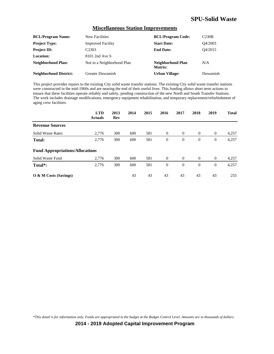#### **Miscellaneous Station Improvements**

| <b>BCL/Program Name:</b>      | New Facilities             | <b>BCL/Program Code:</b>     | C <sub>230B</sub> |
|-------------------------------|----------------------------|------------------------------|-------------------|
| <b>Project Type:</b>          | <b>Improved Facility</b>   | <b>Start Date:</b>           | O4/2003           |
| <b>Project ID:</b>            | C <sub>2303</sub>          | <b>End Date:</b>             | O4/2015           |
| <b>Location:</b>              | 8101 2nd Ave S             |                              |                   |
| Neighborhood Plan:            | Not in a Neighborhood Plan | Neighborhood Plan<br>Matrix: | N/A               |
| <b>Neighborhood District:</b> | <b>Greater Duwamish</b>    | <b>Urban Village:</b>        | Duwamish          |

This project provides repairs to the existing City solid waste transfer stations. The existing City solid waste transfer stations were constructed in the mid-1960s and are nearing the end of their useful lives. This funding allows short term actions to ensure that these facilities operate reliably and safely, pending construction of the new North and South Transfer Stations. The work includes drainage modifications, emergency equipment rehabilitation, and temporary replacement/refurbishment of aging crew facilities.

|                                        | <b>LTD</b><br><b>Actuals</b> | 2013<br>Rev | 2014 | 2015 | 2016           | 2017     | 2018           | 2019           | <b>Total</b> |
|----------------------------------------|------------------------------|-------------|------|------|----------------|----------|----------------|----------------|--------------|
| <b>Revenue Sources</b>                 |                              |             |      |      |                |          |                |                |              |
| <b>Solid Waste Rates</b>               | 2,776                        | 300         | 600  | 581  | $\theta$       | $\theta$ | $\theta$       | $\overline{0}$ | 4,257        |
| Total:                                 | 2,776                        | 300         | 600  | 581  | $\theta$       | $\theta$ | $\overline{0}$ | $\mathbf{0}$   | 4,257        |
| <b>Fund Appropriations/Allocations</b> |                              |             |      |      |                |          |                |                |              |
| Solid Waste Fund                       | 2,776                        | 300         | 600  | 581  | $\theta$       | $\theta$ | $\overline{0}$ | $\overline{0}$ | 4,257        |
| Total*:                                | 2,776                        | 300         | 600  | 581  | $\overline{0}$ | $\theta$ | $\overline{0}$ | $\mathbf{0}$   | 4,257        |
| $\overline{O}$ & M Costs (Savings)     |                              |             | 43   | 43   | 43             | 43       | 43             | 43             | 255          |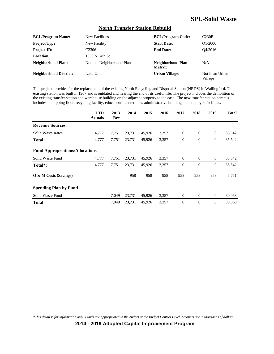#### **North Transfer Station Rebuild**

| <b>BCL/Program Name:</b>      | New Facilities             | <b>BCL/Program Code:</b>     | C <sub>230B</sub>          |
|-------------------------------|----------------------------|------------------------------|----------------------------|
| <b>Project Type:</b>          | New Facility               | <b>Start Date:</b>           | O1/2006                    |
| <b>Project ID:</b>            | C <sub>2306</sub>          | <b>End Date:</b>             | O4/2016                    |
| Location:                     | 1350 N 34th St             |                              |                            |
| Neighborhood Plan:            | Not in a Neighborhood Plan | Neighborhood Plan<br>Matrix: | N/A                        |
| <b>Neighborhood District:</b> | Lake Union                 | <b>Urban Village:</b>        | Not in an Urban<br>Village |

This project provides for the replacement of the existing North Recycling and Disposal Station (NRDS) in Wallingford. The existing station was built in 1967 and is outdated and nearing the end of its useful life. The project includes the demolition of the existing transfer station and warehouse building on the adjacent property to the east. The new transfer station campus includes the tipping floor, recycling facility, educational center, new administrative building and employee facilities.

|                                        | <b>LTD</b><br><b>Actuals</b> | 2013<br>Rev | 2014   | 2015   | 2016  | 2017             | 2018           | 2019             | <b>Total</b> |
|----------------------------------------|------------------------------|-------------|--------|--------|-------|------------------|----------------|------------------|--------------|
| <b>Revenue Sources</b>                 |                              |             |        |        |       |                  |                |                  |              |
| <b>Solid Waste Rates</b>               | 4,777                        | 7,751       | 23,731 | 45,926 | 3,357 | $\overline{0}$   | $\overline{0}$ | $\mathbf{0}$     | 85,542       |
| Total:                                 | 4,777                        | 7,751       | 23,731 | 45,926 | 3,357 | $\theta$         | $\overline{0}$ | $\mathbf{0}$     | 85,542       |
| <b>Fund Appropriations/Allocations</b> |                              |             |        |        |       |                  |                |                  |              |
| Solid Waste Fund                       | 4,777                        | 7,751       | 23,731 | 45,926 | 3,357 | $\boldsymbol{0}$ | $\theta$       | $\mathbf{0}$     | 85,542       |
| Total <sup>*</sup> :                   | 4,777                        | 7,751       | 23,731 | 45,926 | 3,357 | $\theta$         | $\overline{0}$ | $\mathbf{0}$     | 85,542       |
| $\overline{O}$ & M Costs (Savings)     |                              |             | 958    | 958    | 958   | 958              | 958            | 958              | 5,751        |
| <b>Spending Plan by Fund</b>           |                              |             |        |        |       |                  |                |                  |              |
| Solid Waste Fund                       |                              | 7,049       | 23,731 | 45,926 | 3,357 | $\overline{0}$   | $\overline{0}$ | $\overline{0}$   | 80,063       |
| <b>Total:</b>                          |                              | 7,049       | 23,731 | 45,926 | 3,357 | $\theta$         | $\overline{0}$ | $\boldsymbol{0}$ | 80,063       |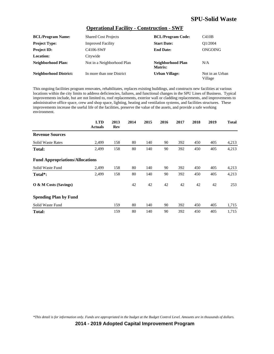#### **Operational Facility - Construction - SWF**

| <b>BCL/Program Name:</b>      | <b>Shared Cost Projects</b> | <b>BCL/Program Code:</b>     | C410B                      |
|-------------------------------|-----------------------------|------------------------------|----------------------------|
| <b>Project Type:</b>          | <b>Improved Facility</b>    | <b>Start Date:</b>           | O <sub>1</sub> /2004       |
| <b>Project ID:</b>            | C4106-SWF                   | <b>End Date:</b>             | ONGOING                    |
| <b>Location:</b>              | Citywide                    |                              |                            |
| <b>Neighborhood Plan:</b>     | Not in a Neighborhood Plan  | Neighborhood Plan<br>Matrix: | N/A                        |
| <b>Neighborhood District:</b> | In more than one District   | <b>Urban Village:</b>        | Not in an Urban<br>Village |

This ongoing facilities program renovates, rehabilitates, replaces existing buildings, and constructs new facilities at various locations within the city limits to address deficiencies, failures, and functional changes in the SPU Lines of Business. Typical improvements include, but are not limited to, roof replacements, exterior wall or cladding replacements, and improvements to administrative office space, crew and shop space, lighting, heating and ventilation systems, and facilities structures. These improvements increase the useful life of the facilities, preserve the value of the assets, and provide a safe working environment.

|                                        | <b>LTD</b><br><b>Actuals</b> | 2013<br>Rev | 2014 | 2015 | 2016 | 2017 | 2018 | 2019 | <b>Total</b> |
|----------------------------------------|------------------------------|-------------|------|------|------|------|------|------|--------------|
| <b>Revenue Sources</b>                 |                              |             |      |      |      |      |      |      |              |
| <b>Solid Waste Rates</b>               | 2,499                        | 158         | 80   | 140  | 90   | 392  | 450  | 405  | 4,213        |
| Total:                                 | 2,499                        | 158         | 80   | 140  | 90   | 392  | 450  | 405  | 4,213        |
| <b>Fund Appropriations/Allocations</b> |                              |             |      |      |      |      |      |      |              |
| Solid Waste Fund                       | 2,499                        | 158         | 80   | 140  | 90   | 392  | 450  | 405  | 4,213        |
| Total <sup>*</sup> :                   | 2,499                        | 158         | 80   | 140  | 90   | 392  | 450  | 405  | 4,213        |
| O & M Costs (Savings)                  |                              |             | 42   | 42   | 42   | 42   | 42   | 42   | 253          |
| <b>Spending Plan by Fund</b>           |                              |             |      |      |      |      |      |      |              |
| Solid Waste Fund                       |                              | 159         | 80   | 140  | 90   | 392  | 450  | 405  | 1,715        |
| <b>Total:</b>                          |                              | 159         | 80   | 140  | 90   | 392  | 450  | 405  | 1,715        |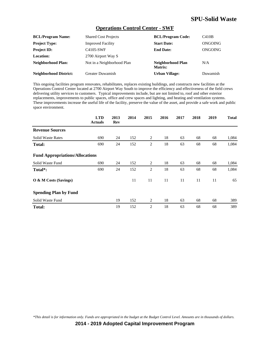#### **Operations Control Center - SWF**

| <b>BCL/Program Name:</b>      | <b>Shared Cost Projects</b> | <b>BCL/Program Code:</b>     | C410B    |
|-------------------------------|-----------------------------|------------------------------|----------|
| <b>Project Type:</b>          | <b>Improved Facility</b>    | <b>Start Date:</b>           | ONGOING  |
| <b>Project ID:</b>            | C4105-SWF                   | <b>End Date:</b>             | ONGOING  |
| Location:                     | 2700 Airport Way S          |                              |          |
| Neighborhood Plan:            | Not in a Neighborhood Plan  | Neighborhood Plan<br>Matrix: | N/A      |
| <b>Neighborhood District:</b> | Greater Duwamish            | <b>Urban Village:</b>        | Duwamish |

This ongoing facilities program renovates, rehabilitates, replaces existing buildings, and constructs new facilities at the Operations Control Center located at 2700 Airport Way South to improve the efficiency and effectiveness of the field crews delivering utility services to customers. Typical improvements include, but are not limited to, roof and other exterior replacements, improvements to public spaces, office and crew spaces and lighting, and heating and ventilation systems. These improvements increase the useful life of the facility, preserve the value of the asset, and provide a safe work and public space environment.

|                                        | <b>LTD</b><br><b>Actuals</b> | 2013<br>Rev | 2014 | 2015           | 2016 | 2017 | 2018 | 2019 | <b>Total</b> |
|----------------------------------------|------------------------------|-------------|------|----------------|------|------|------|------|--------------|
| <b>Revenue Sources</b>                 |                              |             |      |                |      |      |      |      |              |
| <b>Solid Waste Rates</b>               | 690                          | 24          | 152  | 2              | 18   | 63   | 68   | 68   | 1,084        |
| Total:                                 | 690                          | 24          | 152  | 2              | 18   | 63   | 68   | 68   | 1,084        |
| <b>Fund Appropriations/Allocations</b> |                              |             |      |                |      |      |      |      |              |
| Solid Waste Fund                       | 690                          | 24          | 152  | 2              | 18   | 63   | 68   | 68   | 1,084        |
| Total*:                                | 690                          | 24          | 152  | $\mathbf{2}$   | 18   | 63   | 68   | 68   | 1,084        |
| O & M Costs (Savings)                  |                              |             | 11   | 11             | 11   | 11   | 11   | 11   | 65           |
| <b>Spending Plan by Fund</b>           |                              |             |      |                |      |      |      |      |              |
| Solid Waste Fund                       |                              | 19          | 152  | 2              | 18   | 63   | 68   | 68   | 389          |
| <b>Total:</b>                          |                              | 19          | 152  | $\overline{c}$ | 18   | 63   | 68   | 68   | 389          |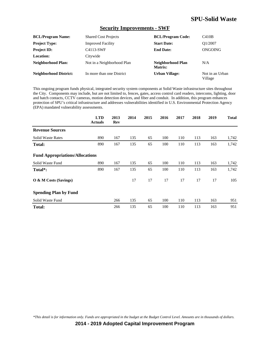#### **Security Improvements - SWF**

| <b>BCL/Program Name:</b>      | <b>Shared Cost Projects</b> | <b>BCL/Program Code:</b>     | C410B                      |
|-------------------------------|-----------------------------|------------------------------|----------------------------|
| <b>Project Type:</b>          | <b>Improved Facility</b>    | <b>Start Date:</b>           | O1/2007                    |
| <b>Project ID:</b>            | C4113-SWF                   | <b>End Date:</b>             | ONGOING                    |
| Location:                     | Citywide                    |                              |                            |
| Neighborhood Plan:            | Not in a Neighborhood Plan  | Neighborhood Plan<br>Matrix: | N/A                        |
| <b>Neighborhood District:</b> | In more than one District   | <b>Urban Village:</b>        | Not in an Urban<br>Village |

This ongoing program funds physical, integrated security system components at Solid Waste infrastructure sites throughout the City. Components may include, but are not limited to, fences, gates, access control card readers, intercoms, lighting, door and hatch contacts, CCTV cameras, motion detection devices, and fiber and conduit. In addition, this program enhances protection of SPU's critical infrastructure and addresses vulnerabilities identified in U.S. Environmental Protection Agency (EPA) mandated vulnerability assessments.

|                                        | <b>LTD</b><br><b>Actuals</b> | 2013<br>Rev | 2014 | 2015 | 2016 | 2017 | 2018 | 2019 | <b>Total</b> |
|----------------------------------------|------------------------------|-------------|------|------|------|------|------|------|--------------|
| <b>Revenue Sources</b>                 |                              |             |      |      |      |      |      |      |              |
| <b>Solid Waste Rates</b>               | 890                          | 167         | 135  | 65   | 100  | 110  | 113  | 163  | 1,742        |
| Total:                                 | 890                          | 167         | 135  | 65   | 100  | 110  | 113  | 163  | 1,742        |
| <b>Fund Appropriations/Allocations</b> |                              |             |      |      |      |      |      |      |              |
| Solid Waste Fund                       | 890                          | 167         | 135  | 65   | 100  | 110  | 113  | 163  | 1,742        |
| Total*:                                | 890                          | 167         | 135  | 65   | 100  | 110  | 113  | 163  | 1,742        |
| O & M Costs (Savings)                  |                              |             | 17   | 17   | 17   | 17   | 17   | 17   | 105          |
| <b>Spending Plan by Fund</b>           |                              |             |      |      |      |      |      |      |              |
| Solid Waste Fund                       |                              | 266         | 135  | 65   | 100  | 110  | 113  | 163  | 951          |
| <b>Total:</b>                          |                              | 266         | 135  | 65   | 100  | 110  | 113  | 163  | 951          |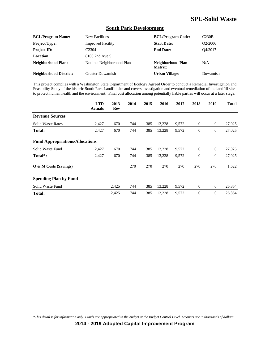#### **South Park Development**

| <b>BCL/Program Name:</b>      | New Facilities             | <b>BCL/Program Code:</b>     | C <sub>230B</sub>    |
|-------------------------------|----------------------------|------------------------------|----------------------|
| <b>Project Type:</b>          | <b>Improved Facility</b>   | <b>Start Date:</b>           | O <sub>2</sub> /2006 |
| <b>Project ID:</b>            | C <sub>2304</sub>          | <b>End Date:</b>             | O4/2017              |
| Location:                     | 8100 2nd Ave S             |                              |                      |
| <b>Neighborhood Plan:</b>     | Not in a Neighborhood Plan | Neighborhood Plan<br>Matrix: | N/A                  |
| <b>Neighborhood District:</b> | <b>Greater Duwamish</b>    | <b>Urban Village:</b>        | Duwamish             |

This project complies with a Washington State Department of Ecology Agreed Order to conduct a Remedial Investigation and Feasibility Study of the historic South Park Landfill site and covers investigation and eventual remediation of the landfill site to protect human health and the environment. Final cost allocation among potentially liable parties will occur at a later stage.

|                                        | <b>LTD</b><br><b>Actuals</b> | 2013<br>Rev | 2014 | 2015 | 2016   | 2017  | 2018             | 2019             | <b>Total</b> |
|----------------------------------------|------------------------------|-------------|------|------|--------|-------|------------------|------------------|--------------|
| <b>Revenue Sources</b>                 |                              |             |      |      |        |       |                  |                  |              |
| <b>Solid Waste Rates</b>               | 2,427                        | 670         | 744  | 385  | 13,228 | 9,572 | $\mathbf{0}$     | $\overline{0}$   | 27,025       |
| <b>Total:</b>                          | 2,427                        | 670         | 744  | 385  | 13,228 | 9,572 | $\mathbf{0}$     | $\mathbf{0}$     | 27,025       |
| <b>Fund Appropriations/Allocations</b> |                              |             |      |      |        |       |                  |                  |              |
| Solid Waste Fund                       | 2,427                        | 670         | 744  | 385  | 13,228 | 9,572 | $\boldsymbol{0}$ | $\mathbf{0}$     | 27,025       |
| Total <sup>*</sup> :                   | 2,427                        | 670         | 744  | 385  | 13,228 | 9,572 | $\theta$         | $\theta$         | 27,025       |
| O & M Costs (Savings)                  |                              |             | 270  | 270  | 270    | 270   | 270              | 270              | 1,622        |
| <b>Spending Plan by Fund</b>           |                              |             |      |      |        |       |                  |                  |              |
| Solid Waste Fund                       |                              | 2,425       | 744  | 385  | 13,228 | 9,572 | $\mathbf{0}$     | $\boldsymbol{0}$ | 26,354       |
| <b>Total:</b>                          |                              | 2,425       | 744  | 385  | 13,228 | 9,572 | $\overline{0}$   | $\boldsymbol{0}$ | 26,354       |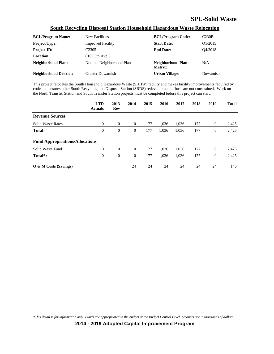### **South Recycling Disposal Station Household Hazardous Waste Relocation**

| <b>BCL/Program Name:</b>      | New Facilities             | <b>BCL/Program Code:</b>     | C <sub>230B</sub>    |
|-------------------------------|----------------------------|------------------------------|----------------------|
| <b>Project Type:</b>          | <b>Improved Facility</b>   | <b>Start Date:</b>           | O <sub>1</sub> /2015 |
| <b>Project ID:</b>            | C <sub>2305</sub>          | <b>End Date:</b>             | O4/2018              |
| Location:                     | 8105 5th Ave S             |                              |                      |
| <b>Neighborhood Plan:</b>     | Not in a Neighborhood Plan | Neighborhood Plan<br>Matrix: | N/A                  |
| <b>Neighborhood District:</b> | <b>Greater Duwamish</b>    | <b>Urban Village:</b>        | Duwamish             |

This project relocates the South Household Hazardous Waste (SHHW) facility and makes facility improvements required by code and ensures other South Recycling and Disposal Station (SRDS) redevelopment efforts are not constrained. Work on the North Transfer Station and South Transfer Station projects must be completed before this project can start.

|                                        | <b>LTD</b><br><b>Actuals</b> | 2013<br>Rev    | 2014             | 2015 | 2016  | 2017  | 2018 | 2019           | <b>Total</b> |
|----------------------------------------|------------------------------|----------------|------------------|------|-------|-------|------|----------------|--------------|
| <b>Revenue Sources</b>                 |                              |                |                  |      |       |       |      |                |              |
| <b>Solid Waste Rates</b>               | $\Omega$                     | $\theta$       | $\theta$         | 177  | 1.036 | 1,036 | 177  | $\overline{0}$ | 2,425        |
| Total:                                 | $\boldsymbol{0}$             | $\theta$       | $\boldsymbol{0}$ | 177  | 1,036 | 1,036 | 177  | $\mathbf{0}$   | 2,425        |
| <b>Fund Appropriations/Allocations</b> |                              |                |                  |      |       |       |      |                |              |
| Solid Waste Fund                       | $\overline{0}$               | $\overline{0}$ | $\theta$         | 177  | 1.036 | 1.036 | 177  | $\overline{0}$ | 2,425        |
| Total <sup>*</sup> :                   | $\overline{0}$               | $\theta$       | $\theta$         | 177  | 1,036 | 1,036 | 177  | $\mathbf{0}$   | 2,425        |
| O & M Costs (Savings)                  |                              |                | 24               | 24   | 24    | 24    | 24   | 24             | 146          |